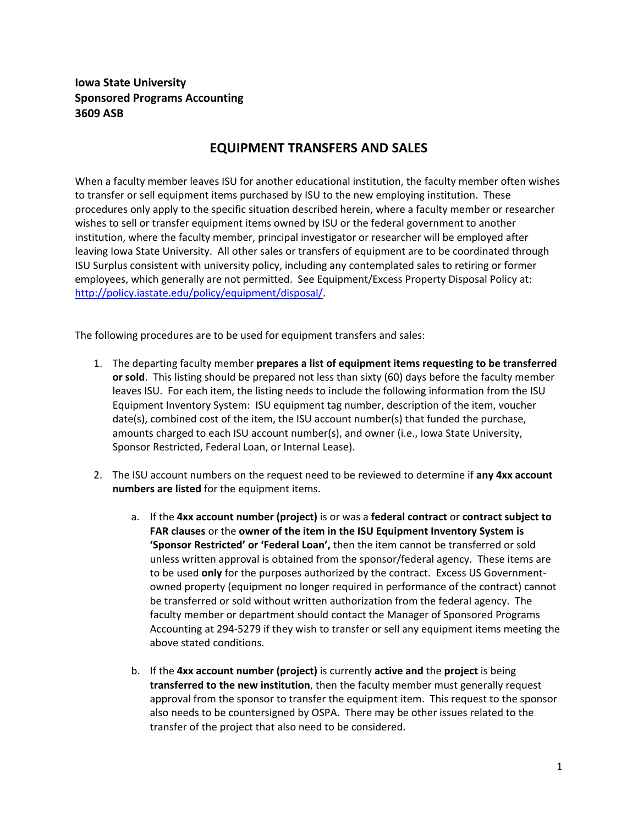## **Iowa State University Sponsored Programs Accounting 3609 ASB**

## **EQUIPMENT TRANSFERS AND SALES**

When a faculty member leaves ISU for another educational institution, the faculty member often wishes to transfer or sell equipment items purchased by ISU to the new employing institution. These procedures only apply to the specific situation described herein, where a faculty member or researcher wishes to sell or transfer equipment items owned by ISU or the federal government to another institution, where the faculty member, principal investigator or researcher will be employed after leaving Iowa State University. All other sales or transfers of equipment are to be coordinated through ISU Surplus consistent with university policy, including any contemplated sales to retiring or former employees, which generally are not permitted. See Equipment/Excess Property Disposal Policy at: http://policy.iastate.edu/policy/equipment/disposal/.

The following procedures are to be used for equipment transfers and sales:

- 1. The departing faculty member **prepares a list of equipment items requesting to be transferred or sold**. This listing should be prepared not less than sixty (60) days before the faculty member leaves ISU. For each item, the listing needs to include the following information from the ISU Equipment Inventory System: ISU equipment tag number, description of the item, voucher date(s), combined cost of the item, the ISU account number(s) that funded the purchase, amounts charged to each ISU account number(s), and owner (i.e., Iowa State University, Sponsor Restricted, Federal Loan, or Internal Lease).
- 2. The ISU account numbers on the request need to be reviewed to determine if **any 4xx account numbers are listed** for the equipment items.
	- a. If the **4xx account number (project)** is or was a **federal contract** or **contract subject to FAR clauses** or the **owner of the item in the ISU Equipment Inventory System is 'Sponsor Restricted' or 'Federal Loan',** then the item cannot be transferred or sold unless written approval is obtained from the sponsor/federal agency. These items are to be used **only** for the purposes authorized by the contract. Excess US Government‐ owned property (equipment no longer required in performance of the contract) cannot be transferred or sold without written authorization from the federal agency. The faculty member or department should contact the Manager of Sponsored Programs Accounting at 294‐5279 if they wish to transfer or sell any equipment items meeting the above stated conditions.
	- b. If the **4xx account number (project)** is currently **active and** the **project** is being **transferred to the new institution**, then the faculty member must generally request approval from the sponsor to transfer the equipment item. This request to the sponsor also needs to be countersigned by OSPA. There may be other issues related to the transfer of the project that also need to be considered.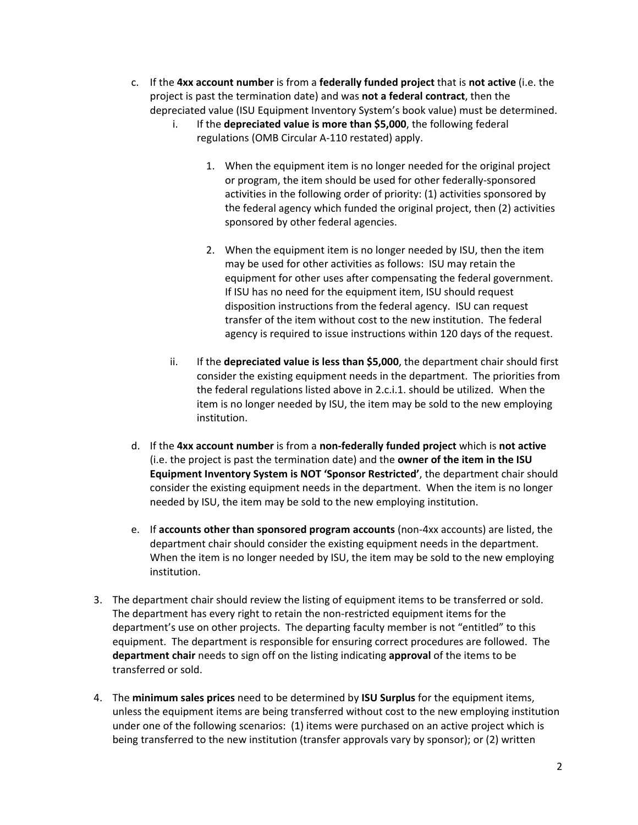- c. If the **4xx account number** is from a **federally funded project** that is **not active** (i.e. the project is past the termination date) and was **not a federal contract**, then the depreciated value (ISU Equipment Inventory System's book value) must be determined.
	- i. If the **depreciated value is more than \$5,000**, the following federal regulations (OMB Circular A‐110 restated) apply.
		- 1. When the equipment item is no longer needed for the original project or program, the item should be used for other federally‐sponsored activities in the following order of priority: (1) activities sponsored by the federal agency which funded the original project, then (2) activities sponsored by other federal agencies.
		- 2. When the equipment item is no longer needed by ISU, then the item may be used for other activities as follows: ISU may retain the equipment for other uses after compensating the federal government. If ISU has no need for the equipment item, ISU should request disposition instructions from the federal agency. ISU can request transfer of the item without cost to the new institution. The federal agency is required to issue instructions within 120 days of the request.
	- ii. If the **depreciated value is less than \$5,000**, the department chair should first consider the existing equipment needs in the department. The priorities from the federal regulations listed above in 2.c.i.1. should be utilized. When the item is no longer needed by ISU, the item may be sold to the new employing institution.
- d. If the **4xx account number** is from a **non‐federally funded project** which is **not active** (i.e. the project is past the termination date) and the **owner of the item in the ISU Equipment Inventory System is NOT 'Sponsor Restricted'**, the department chair should consider the existing equipment needs in the department. When the item is no longer needed by ISU, the item may be sold to the new employing institution.
- e. If **accounts other than sponsored program accounts** (non‐4xx accounts) are listed, the department chair should consider the existing equipment needs in the department. When the item is no longer needed by ISU, the item may be sold to the new employing institution.
- 3. The department chair should review the listing of equipment items to be transferred or sold. The department has every right to retain the non-restricted equipment items for the department's use on other projects. The departing faculty member is not "entitled" to this equipment. The department is responsible for ensuring correct procedures are followed. The **department chair** needs to sign off on the listing indicating **approval** of the items to be transferred or sold.
- 4. The **minimum sales prices** need to be determined by **ISU Surplus** for the equipment items, unless the equipment items are being transferred without cost to the new employing institution under one of the following scenarios: (1) items were purchased on an active project which is being transferred to the new institution (transfer approvals vary by sponsor); or (2) written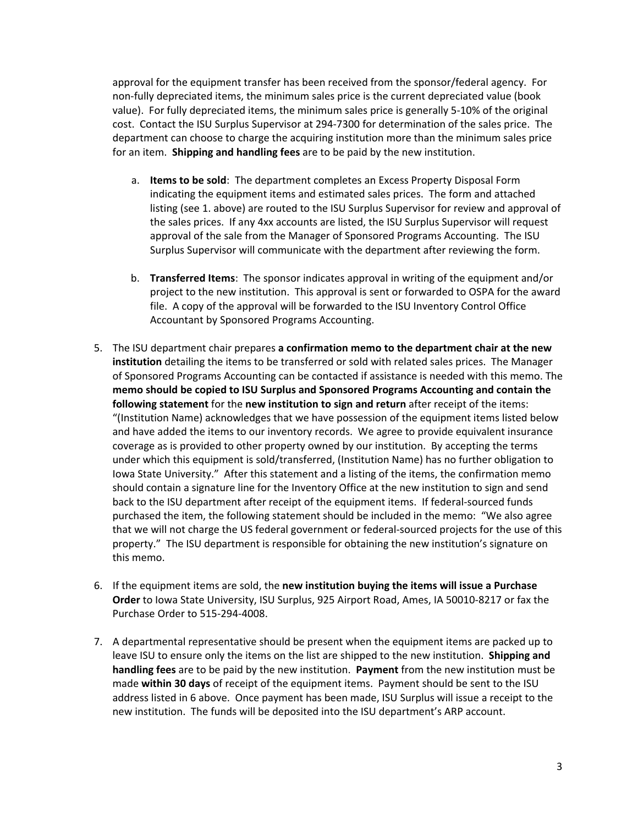approval for the equipment transfer has been received from the sponsor/federal agency. For non-fully depreciated items, the minimum sales price is the current depreciated value (book value). For fully depreciated items, the minimum sales price is generally 5‐10% of the original cost. Contact the ISU Surplus Supervisor at 294‐7300 for determination of the sales price. The department can choose to charge the acquiring institution more than the minimum sales price for an item. **Shipping and handling fees** are to be paid by the new institution.

- a. **Items to be sold**: The department completes an Excess Property Disposal Form indicating the equipment items and estimated sales prices. The form and attached listing (see 1. above) are routed to the ISU Surplus Supervisor for review and approval of the sales prices. If any 4xx accounts are listed, the ISU Surplus Supervisor will request approval of the sale from the Manager of Sponsored Programs Accounting. The ISU Surplus Supervisor will communicate with the department after reviewing the form.
- b. **Transferred Items**: The sponsor indicates approval in writing of the equipment and/or project to the new institution. This approval is sent or forwarded to OSPA for the award file. A copy of the approval will be forwarded to the ISU Inventory Control Office Accountant by Sponsored Programs Accounting.
- 5. The ISU department chair prepares **a confirmation memo to the department chair at the new institution** detailing the items to be transferred or sold with related sales prices. The Manager of Sponsored Programs Accounting can be contacted if assistance is needed with this memo. The **memo should be copied to ISU Surplus and Sponsored Programs Accounting and contain the following statement** for the **new institution to sign and return** after receipt of the items: "(Institution Name) acknowledges that we have possession of the equipment items listed below and have added the items to our inventory records. We agree to provide equivalent insurance coverage as is provided to other property owned by our institution. By accepting the terms under which this equipment is sold/transferred, (Institution Name) has no further obligation to Iowa State University." After this statement and a listing of the items, the confirmation memo should contain a signature line for the Inventory Office at the new institution to sign and send back to the ISU department after receipt of the equipment items. If federal‐sourced funds purchased the item, the following statement should be included in the memo: "We also agree that we will not charge the US federal government or federal‐sourced projects for the use of this property." The ISU department is responsible for obtaining the new institution's signature on this memo.
- 6. If the equipment items are sold, the **new institution buying the items will issue a Purchase Order** to Iowa State University, ISU Surplus, 925 Airport Road, Ames, IA 50010‐8217 or fax the Purchase Order to 515‐294‐4008.
- 7. A departmental representative should be present when the equipment items are packed up to leave ISU to ensure only the items on the list are shipped to the new institution. **Shipping and handling fees** are to be paid by the new institution. **Payment** from the new institution must be made **within 30 days** of receipt of the equipment items. Payment should be sent to the ISU address listed in 6 above. Once payment has been made, ISU Surplus will issue a receipt to the new institution. The funds will be deposited into the ISU department's ARP account.